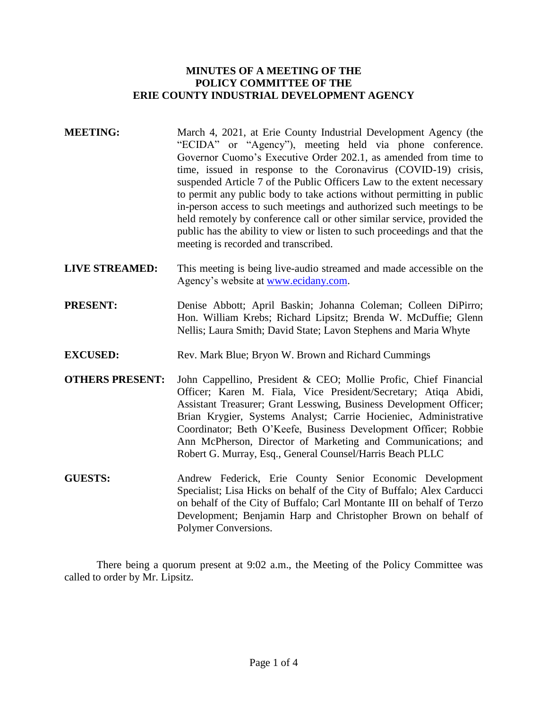# **MINUTES OF A MEETING OF THE POLICY COMMITTEE OF THE ERIE COUNTY INDUSTRIAL DEVELOPMENT AGENCY**

- **MEETING:** March 4, 2021, at Erie County Industrial Development Agency (the "ECIDA" or "Agency"), meeting held via phone conference. Governor Cuomo's Executive Order 202.1, as amended from time to time, issued in response to the Coronavirus (COVID-19) crisis, suspended Article 7 of the Public Officers Law to the extent necessary to permit any public body to take actions without permitting in public in-person access to such meetings and authorized such meetings to be held remotely by conference call or other similar service, provided the public has the ability to view or listen to such proceedings and that the meeting is recorded and transcribed.
- **LIVE STREAMED:** This meeting is being live-audio streamed and made accessible on the Agency's website at [www.ecidany.com.](http://www.ecidany.com/)
- PRESENT: Denise Abbott; April Baskin; Johanna Coleman; Colleen DiPirro; Hon. William Krebs; Richard Lipsitz; Brenda W. McDuffie; Glenn Nellis; Laura Smith; David State; Lavon Stephens and Maria Whyte
- **EXCUSED:** Rev. Mark Blue; Bryon W. Brown and Richard Cummings
- **OTHERS PRESENT:** John Cappellino, President & CEO; Mollie Profic, Chief Financial Officer; Karen M. Fiala, Vice President/Secretary; Atiqa Abidi, Assistant Treasurer; Grant Lesswing, Business Development Officer; Brian Krygier, Systems Analyst; Carrie Hocieniec, Administrative Coordinator; Beth O'Keefe, Business Development Officer; Robbie Ann McPherson, Director of Marketing and Communications; and Robert G. Murray, Esq., General Counsel/Harris Beach PLLC
- **GUESTS:** Andrew Federick, Erie County Senior Economic Development Specialist; Lisa Hicks on behalf of the City of Buffalo; Alex Carducci on behalf of the City of Buffalo; Carl Montante III on behalf of Terzo Development; Benjamin Harp and Christopher Brown on behalf of Polymer Conversions.

There being a quorum present at 9:02 a.m., the Meeting of the Policy Committee was called to order by Mr. Lipsitz.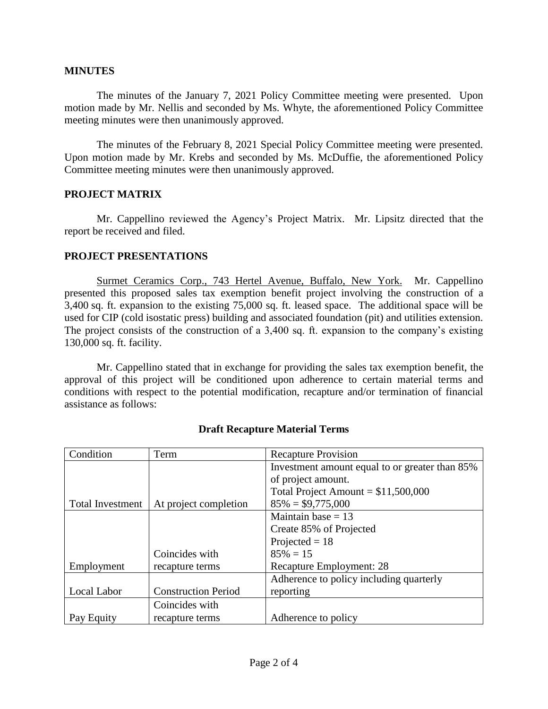### **MINUTES**

The minutes of the January 7, 2021 Policy Committee meeting were presented. Upon motion made by Mr. Nellis and seconded by Ms. Whyte, the aforementioned Policy Committee meeting minutes were then unanimously approved.

The minutes of the February 8, 2021 Special Policy Committee meeting were presented. Upon motion made by Mr. Krebs and seconded by Ms. McDuffie, the aforementioned Policy Committee meeting minutes were then unanimously approved.

# **PROJECT MATRIX**

Mr. Cappellino reviewed the Agency's Project Matrix. Mr. Lipsitz directed that the report be received and filed.

# **PROJECT PRESENTATIONS**

Surmet Ceramics Corp., 743 Hertel Avenue, Buffalo, New York. Mr. Cappellino presented this proposed sales tax exemption benefit project involving the construction of a 3,400 sq. ft. expansion to the existing 75,000 sq. ft. leased space. The additional space will be used for CIP (cold isostatic press) building and associated foundation (pit) and utilities extension. The project consists of the construction of a 3,400 sq. ft. expansion to the company's existing 130,000 sq. ft. facility.

Mr. Cappellino stated that in exchange for providing the sales tax exemption benefit, the approval of this project will be conditioned upon adherence to certain material terms and conditions with respect to the potential modification, recapture and/or termination of financial assistance as follows:

| Condition               | Term                       | <b>Recapture Provision</b>                     |
|-------------------------|----------------------------|------------------------------------------------|
|                         |                            | Investment amount equal to or greater than 85% |
|                         |                            | of project amount.                             |
|                         |                            | Total Project Amount = $$11,500,000$           |
| <b>Total Investment</b> | At project completion      | $85\% = $9,775,000$                            |
|                         |                            | Maintain base $= 13$                           |
|                         |                            | Create 85% of Projected                        |
|                         |                            | Projected $= 18$                               |
|                         | Coincides with             | $85\% = 15$                                    |
| Employment              | recapture terms            | Recapture Employment: 28                       |
|                         |                            | Adherence to policy including quarterly        |
| Local Labor             | <b>Construction Period</b> | reporting                                      |
|                         | Coincides with             |                                                |
| Pay Equity              | recapture terms            | Adherence to policy                            |

# **Draft Recapture Material Terms**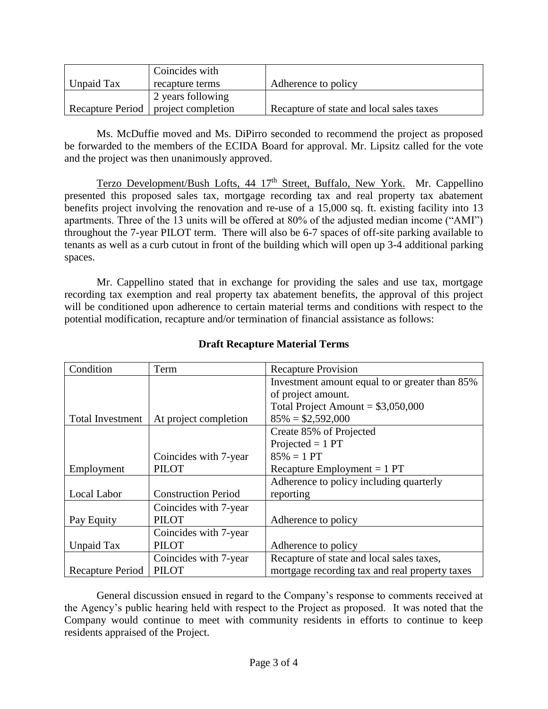|            | Coincides with                        |                                          |
|------------|---------------------------------------|------------------------------------------|
| Unpaid Tax | recapture terms                       | Adherence to policy                      |
|            | 2 years following                     |                                          |
|            | Recapture Period   project completion | Recapture of state and local sales taxes |

Ms. McDuffie moved and Ms. DiPirro seconded to recommend the project as proposed be forwarded to the members of the ECIDA Board for approval. Mr. Lipsitz called for the vote and the project was then unanimously approved.

Terzo Development/Bush Lofts, 44 17<sup>th</sup> Street, Buffalo, New York. Mr. Cappellino presented this proposed sales tax, mortgage recording tax and real property tax abatement benefits project involving the renovation and re-use of a 15,000 sq. ft. existing facility into 13 apartments. Three of the 13 units will be offered at 80% of the adjusted median income ("AMI") throughout the 7-year PILOT term. There will also be 6-7 spaces of off-site parking available to tenants as well as a curb cutout in front of the building which will open up 3-4 additional parking spaces.

Mr. Cappellino stated that in exchange for providing the sales and use tax, mortgage recording tax exemption and real property tax abatement benefits, the approval of this project will be conditioned upon adherence to certain material terms and conditions with respect to the potential modification, recapture and/or termination of financial assistance as follows:

| Condition               | Term                       | <b>Recapture Provision</b>                     |
|-------------------------|----------------------------|------------------------------------------------|
|                         |                            | Investment amount equal to or greater than 85% |
|                         |                            | of project amount.                             |
|                         |                            | Total Project Amount = $$3,050,000$            |
| <b>Total Investment</b> | At project completion      | $85\% = $2,592,000$                            |
|                         |                            | Create 85% of Projected                        |
|                         |                            | Projected $= 1$ PT                             |
|                         | Coincides with 7-year      | $85\% = 1 PT$                                  |
| Employment              | <b>PILOT</b>               | Recapture Employment $= 1$ PT                  |
|                         |                            | Adherence to policy including quarterly        |
| Local Labor             | <b>Construction Period</b> | reporting                                      |
|                         | Coincides with 7-year      |                                                |
| Pay Equity              | <b>PILOT</b>               | Adherence to policy                            |
|                         | Coincides with 7-year      |                                                |
| Unpaid Tax              | <b>PILOT</b>               | Adherence to policy                            |
|                         | Coincides with 7-year      | Recapture of state and local sales taxes,      |
| Recapture Period        | <b>PILOT</b>               | mortgage recording tax and real property taxes |

# **Draft Recapture Material Terms**

General discussion ensued in regard to the Company's response to comments received at the Agency's public hearing held with respect to the Project as proposed. It was noted that the Company would continue to meet with community residents in efforts to continue to keep residents appraised of the Project.